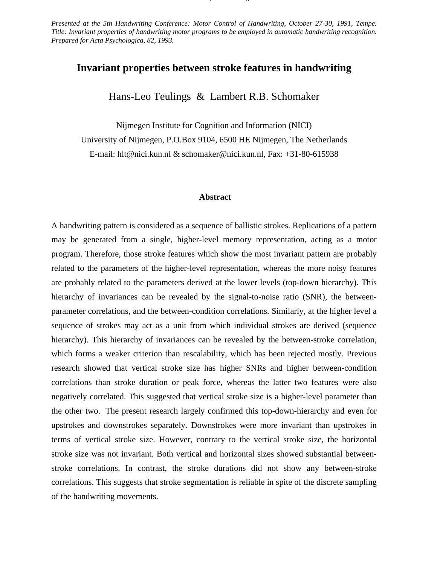*Presented at the 5th Handwriting Conference: Motor Control of Handwriting, October 27-30, 1991, Tempe. Title: Invariant properties of handwriting motor programs to be employed in automatic handwriting recognition. Prepared for Acta Psychologica, 82, 1993.*

# **Invariant properties between stroke features in handwriting**

Hans-Leo Teulings & Lambert R.B. Schomaker

 Nijmegen Institute for Cognition and Information (NICI) University of Nijmegen, P.O.Box 9104, 6500 HE Nijmegen, The Netherlands E-mail: hlt@nici.kun.nl & schomaker@nici.kun.nl, Fax: +31-80-615938

#### **Abstract**

A handwriting pattern is considered as a sequence of ballistic strokes. Replications of a pattern may be generated from a single, higher-level memory representation, acting as a motor program. Therefore, those stroke features which show the most invariant pattern are probably related to the parameters of the higher-level representation, whereas the more noisy features are probably related to the parameters derived at the lower levels (top-down hierarchy). This hierarchy of invariances can be revealed by the signal-to-noise ratio (SNR), the betweenparameter correlations, and the between-condition correlations. Similarly, at the higher level a sequence of strokes may act as a unit from which individual strokes are derived (sequence hierarchy). This hierarchy of invariances can be revealed by the between-stroke correlation, which forms a weaker criterion than rescalability, which has been rejected mostly. Previous research showed that vertical stroke size has higher SNRs and higher between-condition correlations than stroke duration or peak force, whereas the latter two features were also negatively correlated. This suggested that vertical stroke size is a higher-level parameter than the other two. The present research largely confirmed this top-down-hierarchy and even for upstrokes and downstrokes separately. Downstrokes were more invariant than upstrokes in terms of vertical stroke size. However, contrary to the vertical stroke size, the horizontal stroke size was not invariant. Both vertical and horizontal sizes showed substantial betweenstroke correlations. In contrast, the stroke durations did not show any between-stroke correlations. This suggests that stroke segmentation is reliable in spite of the discrete sampling of the handwriting movements.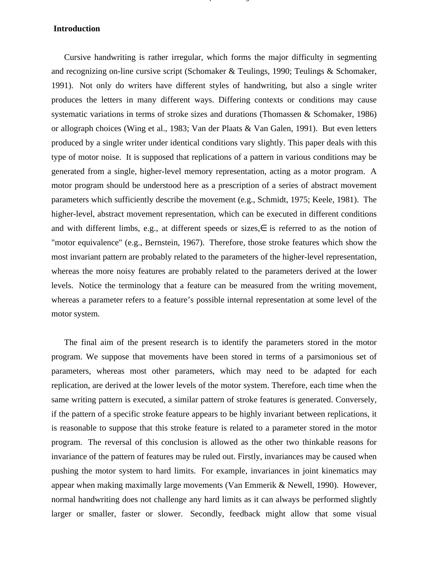#### **Introduction**

 Cursive handwriting is rather irregular, which forms the major difficulty in segmenting and recognizing on-line cursive script (Schomaker & Teulings, 1990; Teulings & Schomaker, 1991). Not only do writers have different styles of handwriting, but also a single writer produces the letters in many different ways. Differing contexts or conditions may cause systematic variations in terms of stroke sizes and durations (Thomassen & Schomaker, 1986) or allograph choices (Wing et al., 1983; Van der Plaats & Van Galen, 1991). But even letters produced by a single writer under identical conditions vary slightly. This paper deals with this type of motor noise. It is supposed that replications of a pattern in various conditions may be generated from a single, higher-level memory representation, acting as a motor program. A motor program should be understood here as a prescription of a series of abstract movement parameters which sufficiently describe the movement (e.g., Schmidt, 1975; Keele, 1981). The higher-level, abstract movement representation, which can be executed in different conditions and with different limbs, e.g., at different speeds or sizes,∈ is referred to as the notion of "motor equivalence" (e.g., Bernstein, 1967). Therefore, those stroke features which show the most invariant pattern are probably related to the parameters of the higher-level representation, whereas the more noisy features are probably related to the parameters derived at the lower levels. Notice the terminology that a feature can be measured from the writing movement, whereas a parameter refers to a feature's possible internal representation at some level of the motor system.

 The final aim of the present research is to identify the parameters stored in the motor program. We suppose that movements have been stored in terms of a parsimonious set of parameters, whereas most other parameters, which may need to be adapted for each replication, are derived at the lower levels of the motor system. Therefore, each time when the same writing pattern is executed, a similar pattern of stroke features is generated. Conversely, if the pattern of a specific stroke feature appears to be highly invariant between replications, it is reasonable to suppose that this stroke feature is related to a parameter stored in the motor program. The reversal of this conclusion is allowed as the other two thinkable reasons for invariance of the pattern of features may be ruled out. Firstly, invariances may be caused when pushing the motor system to hard limits. For example, invariances in joint kinematics may appear when making maximally large movements (Van Emmerik & Newell, 1990). However, normal handwriting does not challenge any hard limits as it can always be performed slightly larger or smaller, faster or slower. Secondly, feedback might allow that some visual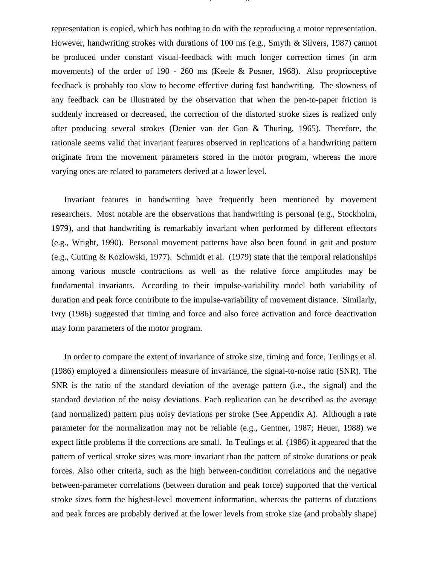representation is copied, which has nothing to do with the reproducing a motor representation. However, handwriting strokes with durations of 100 ms (e.g., Smyth & Silvers, 1987) cannot be produced under constant visual-feedback with much longer correction times (in arm movements) of the order of 190 - 260 ms (Keele & Posner, 1968). Also proprioceptive feedback is probably too slow to become effective during fast handwriting. The slowness of any feedback can be illustrated by the observation that when the pen-to-paper friction is suddenly increased or decreased, the correction of the distorted stroke sizes is realized only after producing several strokes (Denier van der Gon & Thuring, 1965). Therefore, the rationale seems valid that invariant features observed in replications of a handwriting pattern originate from the movement parameters stored in the motor program, whereas the more varying ones are related to parameters derived at a lower level.

 Invariant features in handwriting have frequently been mentioned by movement researchers. Most notable are the observations that handwriting is personal (e.g., Stockholm, 1979), and that handwriting is remarkably invariant when performed by different effectors (e.g., Wright, 1990). Personal movement patterns have also been found in gait and posture (e.g., Cutting & Kozlowski, 1977). Schmidt et al. (1979) state that the temporal relationships among various muscle contractions as well as the relative force amplitudes may be fundamental invariants. According to their impulse-variability model both variability of duration and peak force contribute to the impulse-variability of movement distance. Similarly, Ivry (1986) suggested that timing and force and also force activation and force deactivation may form parameters of the motor program.

 In order to compare the extent of invariance of stroke size, timing and force, Teulings et al. (1986) employed a dimensionless measure of invariance, the signal-to-noise ratio (SNR). The SNR is the ratio of the standard deviation of the average pattern (i.e., the signal) and the standard deviation of the noisy deviations. Each replication can be described as the average (and normalized) pattern plus noisy deviations per stroke (See Appendix A). Although a rate parameter for the normalization may not be reliable (e.g., Gentner, 1987; Heuer, 1988) we expect little problems if the corrections are small. In Teulings et al. (1986) it appeared that the pattern of vertical stroke sizes was more invariant than the pattern of stroke durations or peak forces. Also other criteria, such as the high between-condition correlations and the negative between-parameter correlations (between duration and peak force) supported that the vertical stroke sizes form the highest-level movement information, whereas the patterns of durations and peak forces are probably derived at the lower levels from stroke size (and probably shape)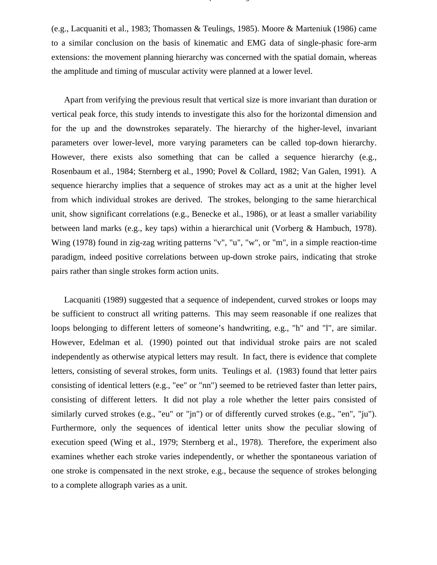(e.g., Lacquaniti et al., 1983; Thomassen & Teulings, 1985). Moore & Marteniuk (1986) came to a similar conclusion on the basis of kinematic and EMG data of single-phasic fore-arm extensions: the movement planning hierarchy was concerned with the spatial domain, whereas the amplitude and timing of muscular activity were planned at a lower level.

 Apart from verifying the previous result that vertical size is more invariant than duration or vertical peak force, this study intends to investigate this also for the horizontal dimension and for the up and the downstrokes separately. The hierarchy of the higher-level, invariant parameters over lower-level, more varying parameters can be called top-down hierarchy. However, there exists also something that can be called a sequence hierarchy (e.g., Rosenbaum et al., 1984; Sternberg et al., 1990; Povel & Collard, 1982; Van Galen, 1991). A sequence hierarchy implies that a sequence of strokes may act as a unit at the higher level from which individual strokes are derived. The strokes, belonging to the same hierarchical unit, show significant correlations (e.g., Benecke et al., 1986), or at least a smaller variability between land marks (e.g., key taps) within a hierarchical unit (Vorberg & Hambuch, 1978). Wing (1978) found in zig-zag writing patterns "v", "u", "w", or "m", in a simple reaction-time paradigm, indeed positive correlations between up-down stroke pairs, indicating that stroke pairs rather than single strokes form action units.

 Lacquaniti (1989) suggested that a sequence of independent, curved strokes or loops may be sufficient to construct all writing patterns. This may seem reasonable if one realizes that loops belonging to different letters of someone's handwriting, e.g., "h" and "l", are similar. However, Edelman et al. (1990) pointed out that individual stroke pairs are not scaled independently as otherwise atypical letters may result. In fact, there is evidence that complete letters, consisting of several strokes, form units. Teulings et al. (1983) found that letter pairs consisting of identical letters (e.g., "ee" or "nn") seemed to be retrieved faster than letter pairs, consisting of different letters. It did not play a role whether the letter pairs consisted of similarly curved strokes (e.g., "eu" or "jn") or of differently curved strokes (e.g., "en", "ju"). Furthermore, only the sequences of identical letter units show the peculiar slowing of execution speed (Wing et al., 1979; Sternberg et al., 1978). Therefore, the experiment also examines whether each stroke varies independently, or whether the spontaneous variation of one stroke is compensated in the next stroke, e.g., because the sequence of strokes belonging to a complete allograph varies as a unit.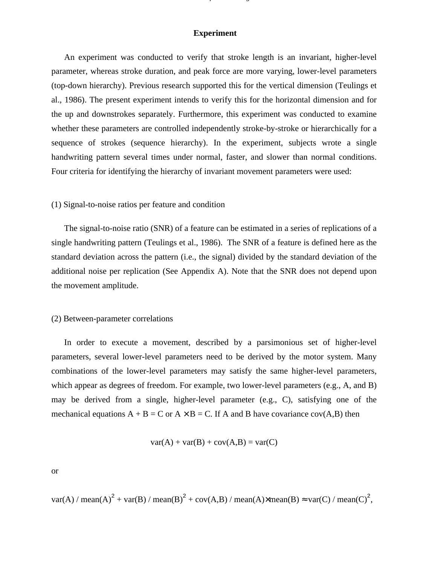#### **Experiment**

 An experiment was conducted to verify that stroke length is an invariant, higher-level parameter, whereas stroke duration, and peak force are more varying, lower-level parameters (top-down hierarchy). Previous research supported this for the vertical dimension (Teulings et al., 1986). The present experiment intends to verify this for the horizontal dimension and for the up and downstrokes separately. Furthermore, this experiment was conducted to examine whether these parameters are controlled independently stroke-by-stroke or hierarchically for a sequence of strokes (sequence hierarchy). In the experiment, subjects wrote a single handwriting pattern several times under normal, faster, and slower than normal conditions. Four criteria for identifying the hierarchy of invariant movement parameters were used:

(1) Signal-to-noise ratios per feature and condition

 The signal-to-noise ratio (SNR) of a feature can be estimated in a series of replications of a single handwriting pattern (Teulings et al., 1986). The SNR of a feature is defined here as the standard deviation across the pattern (i.e., the signal) divided by the standard deviation of the additional noise per replication (See Appendix A). Note that the SNR does not depend upon the movement amplitude.

#### (2) Between-parameter correlations

 In order to execute a movement, described by a parsimonious set of higher-level parameters, several lower-level parameters need to be derived by the motor system. Many combinations of the lower-level parameters may satisfy the same higher-level parameters, which appear as degrees of freedom. For example, two lower-level parameters (e.g., A, and B) may be derived from a single, higher-level parameter (e.g., C), satisfying one of the mechanical equations  $A + B = C$  or  $A \times B = C$ . If A and B have covariance cov(A,B) then

$$
var(A) + var(B) + cov(A, B) = var(C)
$$

or

$$
var(A) / mean(A)^{2} + var(B) / mean(B)^{2} + cov(A, B) / mean(A) \times mean(B) \approx var(C) / mean(C)^{2},
$$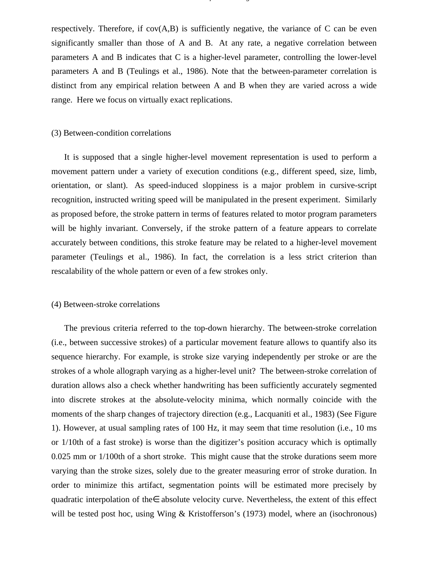respectively. Therefore, if  $cov(A,B)$  is sufficiently negative, the variance of C can be even significantly smaller than those of A and B. At any rate, a negative correlation between parameters A and B indicates that C is a higher-level parameter, controlling the lower-level parameters A and B (Teulings et al., 1986). Note that the between-parameter correlation is distinct from any empirical relation between A and B when they are varied across a wide range. Here we focus on virtually exact replications.

## (3) Between-condition correlations

 It is supposed that a single higher-level movement representation is used to perform a movement pattern under a variety of execution conditions (e.g., different speed, size, limb, orientation, or slant). As speed-induced sloppiness is a major problem in cursive-script recognition, instructed writing speed will be manipulated in the present experiment. Similarly as proposed before, the stroke pattern in terms of features related to motor program parameters will be highly invariant. Conversely, if the stroke pattern of a feature appears to correlate accurately between conditions, this stroke feature may be related to a higher-level movement parameter (Teulings et al., 1986). In fact, the correlation is a less strict criterion than rescalability of the whole pattern or even of a few strokes only.

### (4) Between-stroke correlations

 The previous criteria referred to the top-down hierarchy. The between-stroke correlation (i.e., between successive strokes) of a particular movement feature allows to quantify also its sequence hierarchy. For example, is stroke size varying independently per stroke or are the strokes of a whole allograph varying as a higher-level unit? The between-stroke correlation of duration allows also a check whether handwriting has been sufficiently accurately segmented into discrete strokes at the absolute-velocity minima, which normally coincide with the moments of the sharp changes of trajectory direction (e.g., Lacquaniti et al., 1983) (See Figure 1). However, at usual sampling rates of 100 Hz, it may seem that time resolution (i.e., 10 ms or 1/10th of a fast stroke) is worse than the digitizer's position accuracy which is optimally 0.025 mm or 1/100th of a short stroke. This might cause that the stroke durations seem more varying than the stroke sizes, solely due to the greater measuring error of stroke duration. In order to minimize this artifact, segmentation points will be estimated more precisely by quadratic interpolation of the∈ absolute velocity curve. Nevertheless, the extent of this effect will be tested post hoc, using Wing & Kristofferson's (1973) model, where an (isochronous)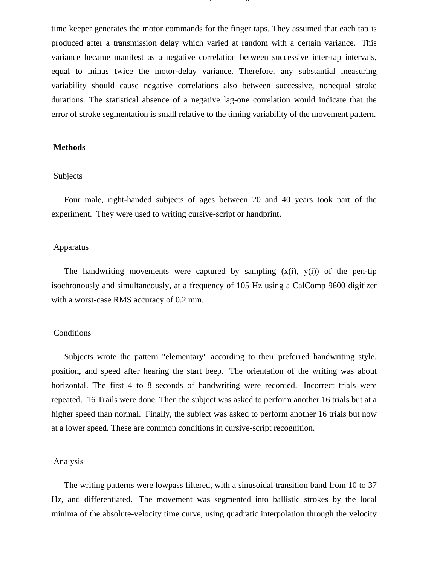time keeper generates the motor commands for the finger taps. They assumed that each tap is produced after a transmission delay which varied at random with a certain variance. This variance became manifest as a negative correlation between successive inter-tap intervals, equal to minus twice the motor-delay variance. Therefore, any substantial measuring variability should cause negative correlations also between successive, nonequal stroke durations. The statistical absence of a negative lag-one correlation would indicate that the error of stroke segmentation is small relative to the timing variability of the movement pattern.

#### **Methods**

### Subjects

 Four male, right-handed subjects of ages between 20 and 40 years took part of the experiment. They were used to writing cursive-script or handprint.

### Apparatus

The handwriting movements were captured by sampling  $(x(i), y(i))$  of the pen-tip isochronously and simultaneously, at a frequency of 105 Hz using a CalComp 9600 digitizer with a worst-case RMS accuracy of 0.2 mm.

### **Conditions**

 Subjects wrote the pattern "elementary" according to their preferred handwriting style, position, and speed after hearing the start beep. The orientation of the writing was about horizontal. The first 4 to 8 seconds of handwriting were recorded. Incorrect trials were repeated. 16 Trails were done. Then the subject was asked to perform another 16 trials but at a higher speed than normal. Finally, the subject was asked to perform another 16 trials but now at a lower speed. These are common conditions in cursive-script recognition.

## Analysis

 The writing patterns were lowpass filtered, with a sinusoidal transition band from 10 to 37 Hz, and differentiated. The movement was segmented into ballistic strokes by the local minima of the absolute-velocity time curve, using quadratic interpolation through the velocity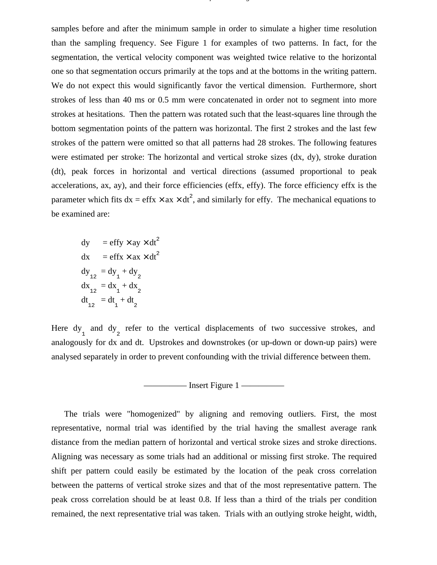samples before and after the minimum sample in order to simulate a higher time resolution than the sampling frequency. See Figure 1 for examples of two patterns. In fact, for the segmentation, the vertical velocity component was weighted twice relative to the horizontal one so that segmentation occurs primarily at the tops and at the bottoms in the writing pattern. We do not expect this would significantly favor the vertical dimension. Furthermore, short strokes of less than 40 ms or 0.5 mm were concatenated in order not to segment into more strokes at hesitations. Then the pattern was rotated such that the least-squares line through the bottom segmentation points of the pattern was horizontal. The first 2 strokes and the last few strokes of the pattern were omitted so that all patterns had 28 strokes. The following features were estimated per stroke: The horizontal and vertical stroke sizes (dx, dy), stroke duration (dt), peak forces in horizontal and vertical directions (assumed proportional to peak accelerations, ax, ay), and their force efficiencies (effx, effy). The force efficiency effx is the parameter which fits  $dx = effx \times ax \times dt^2$ , and similarly for effy. The mechanical equations to be examined are:

$$
dy = effy \times ay \times dt2
$$
  
\n
$$
dx = effx \times ax \times dt2
$$
  
\n
$$
dy_{12} = dy_{1} + dy_{2}
$$
  
\n
$$
dx_{12} = dx_{1} + dx_{2}
$$
  
\n
$$
dt_{12} = dt_{1} + dt_{2}
$$

Here  $dy_1$  and  $dy_2$  refer to the vertical displacements of two successive strokes, and analogously for dx and dt. Upstrokes and downstrokes (or up-down or down-up pairs) were analysed separately in order to prevent confounding with the trivial difference between them.

$$
\overbrace{\qquad \qquad }.\qquad \qquad \text{Insert Figure 1} \qquad \qquad
$$

 The trials were "homogenized" by aligning and removing outliers. First, the most representative, normal trial was identified by the trial having the smallest average rank distance from the median pattern of horizontal and vertical stroke sizes and stroke directions. Aligning was necessary as some trials had an additional or missing first stroke. The required shift per pattern could easily be estimated by the location of the peak cross correlation between the patterns of vertical stroke sizes and that of the most representative pattern. The peak cross correlation should be at least 0.8. If less than a third of the trials per condition remained, the next representative trial was taken. Trials with an outlying stroke height, width,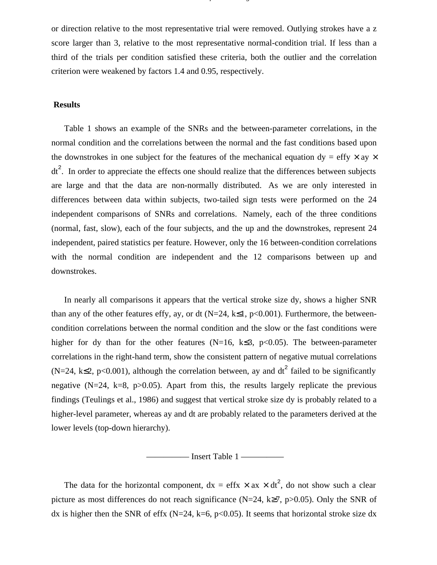or direction relative to the most representative trial were removed. Outlying strokes have a z score larger than 3, relative to the most representative normal-condition trial. If less than a third of the trials per condition satisfied these criteria, both the outlier and the correlation criterion were weakened by factors 1.4 and 0.95, respectively.

### **Results**

 Table 1 shows an example of the SNRs and the between-parameter correlations, in the normal condition and the correlations between the normal and the fast conditions based upon the downstrokes in one subject for the features of the mechanical equation  $dy = effy \times ay \times$  $dt<sup>2</sup>$ . In order to appreciate the effects one should realize that the differences between subjects are large and that the data are non-normally distributed. As we are only interested in differences between data within subjects, two-tailed sign tests were performed on the 24 independent comparisons of SNRs and correlations. Namely, each of the three conditions (normal, fast, slow), each of the four subjects, and the up and the downstrokes, represent 24 independent, paired statistics per feature. However, only the 16 between-condition correlations with the normal condition are independent and the 12 comparisons between up and downstrokes.

 In nearly all comparisons it appears that the vertical stroke size dy, shows a higher SNR than any of the other features effy, ay, or dt ( $N=24$ ,  $k\leq 1$ ,  $p<0.001$ ). Furthermore, the betweencondition correlations between the normal condition and the slow or the fast conditions were higher for dy than for the other features (N=16, k $\leq$ 3, p $\lt$ 0.05). The between-parameter correlations in the right-hand term, show the consistent pattern of negative mutual correlations (N=24, k $\leq$ 2, p $\lt$ 0.001), although the correlation between, ay and dt<sup>2</sup> failed to be significantly negative  $(N=24, k=8, p>0.05)$ . Apart from this, the results largely replicate the previous findings (Teulings et al., 1986) and suggest that vertical stroke size dy is probably related to a higher-level parameter, whereas ay and dt are probably related to the parameters derived at the lower levels (top-down hierarchy).

————— Insert Table 1 —————

The data for the horizontal component,  $dx = effx \times ax \times dt^2$ , do not show such a clear picture as most differences do not reach significance (N=24, k≥7, p>0.05). Only the SNR of dx is higher then the SNR of effx (N=24, k=6, p<0.05). It seems that horizontal stroke size dx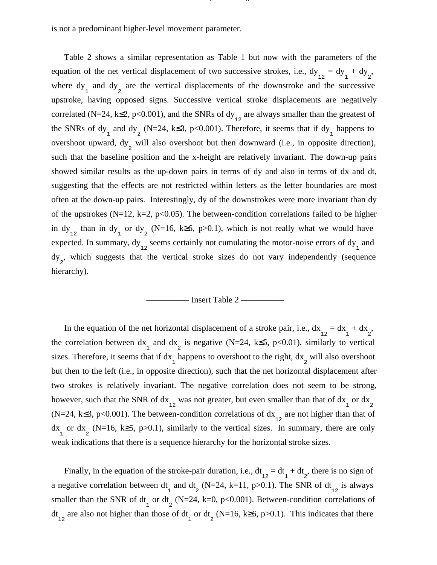is not a predominant higher-level movement parameter.

 Table 2 shows a similar representation as Table 1 but now with the parameters of the equation of the net vertical displacement of two successive strokes, i.e.,  $dy_{12} = dy_1 + dy_2$ , where  $dy_1$  and  $dy_2$  are the vertical displacements of the downstroke and the successive upstroke, having opposed signs. Successive vertical stroke displacements are negatively correlated (N=24, k≤2, p<0.001), and the SNRs of dy<sub>12</sub> are always smaller than the greatest of the SNRs of dy<sub>1</sub> and dy<sub>2</sub> (N=24, k≤3, p<0.001). Therefore, it seems that if dy<sub>1</sub> happens to overshoot upward,  $dy_2$  will also overshoot but then downward (i.e., in opposite direction), such that the baseline position and the x-height are relatively invariant. The down-up pairs showed similar results as the up-down pairs in terms of dy and also in terms of dx and dt, suggesting that the effects are not restricted within letters as the letter boundaries are most often at the down-up pairs. Interestingly, dy of the downstrokes were more invariant than dy of the upstrokes (N=12, k=2, p<0.05). The between-condition correlations failed to be higher in dy<sub>12</sub> than in dy<sub>1</sub> or dy<sub>2</sub> (N=16, k≥6, p>0.1), which is not really what we would have expected. In summary,  $dy_{12}$  seems certainly not cumulating the motor-noise errors of  $dy_1$  and dy 2 , which suggests that the vertical stroke sizes do not vary independently (sequence hierarchy).



In the equation of the net horizontal displacement of a stroke pair, i.e.,  $dx_{12} = dx_1 + dx_2$ , the correlation between  $dx_1$  and  $dx_2$  is negative (N=24, k≤5, p<0.01), similarly to vertical sizes. Therefore, it seems that if  $dx_1$  happens to overshoot to the right,  $dx_2$  will also overshoot but then to the left (i.e., in opposite direction), such that the net horizontal displacement after two strokes is relatively invariant. The negative correlation does not seem to be strong, however, such that the SNR of dx<sub>12</sub> was not greater, but even smaller than that of dx<sub>1</sub> or dx<sub>2</sub> (N=24, k $\leq$ 3, p<0.001). The between-condition correlations of  $dx_{12}$  are not higher than that of  $dx_1$  or  $dx_2$  (N=16, k≥5, p>0.1), similarly to the vertical sizes. In summary, there are only weak indications that there is a sequence hierarchy for the horizontal stroke sizes.

Finally, in the equation of the stroke-pair duration, i.e.,  $dt_{12} = dt_1 + dt_2$ , there is no sign of a negative correlation between dt<sub>1</sub> and dt<sub>2</sub> (N=24, k=11, p>0.1). The SNR of dt<sub>12</sub> is always smaller than the SNR of  $dt_{1}$  or  $dt_{2}$  (N=24, k=0, p<0.001). Between-condition correlations of dt<sub>12</sub> are also not higher than those of dt<sub>1</sub> or dt<sub>2</sub> (N=16, k≥6, p>0.1). This indicates that there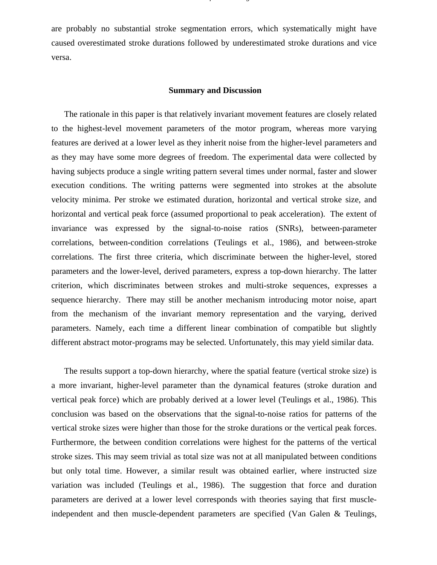are probably no substantial stroke segmentation errors, which systematically might have caused overestimated stroke durations followed by underestimated stroke durations and vice versa.

## **Summary and Discussion**

 The rationale in this paper is that relatively invariant movement features are closely related to the highest-level movement parameters of the motor program, whereas more varying features are derived at a lower level as they inherit noise from the higher-level parameters and as they may have some more degrees of freedom. The experimental data were collected by having subjects produce a single writing pattern several times under normal, faster and slower execution conditions. The writing patterns were segmented into strokes at the absolute velocity minima. Per stroke we estimated duration, horizontal and vertical stroke size, and horizontal and vertical peak force (assumed proportional to peak acceleration). The extent of invariance was expressed by the signal-to-noise ratios (SNRs), between-parameter correlations, between-condition correlations (Teulings et al., 1986), and between-stroke correlations. The first three criteria, which discriminate between the higher-level, stored parameters and the lower-level, derived parameters, express a top-down hierarchy. The latter criterion, which discriminates between strokes and multi-stroke sequences, expresses a sequence hierarchy. There may still be another mechanism introducing motor noise, apart from the mechanism of the invariant memory representation and the varying, derived parameters. Namely, each time a different linear combination of compatible but slightly different abstract motor-programs may be selected. Unfortunately, this may yield similar data.

 The results support a top-down hierarchy, where the spatial feature (vertical stroke size) is a more invariant, higher-level parameter than the dynamical features (stroke duration and vertical peak force) which are probably derived at a lower level (Teulings et al., 1986). This conclusion was based on the observations that the signal-to-noise ratios for patterns of the vertical stroke sizes were higher than those for the stroke durations or the vertical peak forces. Furthermore, the between condition correlations were highest for the patterns of the vertical stroke sizes. This may seem trivial as total size was not at all manipulated between conditions but only total time. However, a similar result was obtained earlier, where instructed size variation was included (Teulings et al., 1986). The suggestion that force and duration parameters are derived at a lower level corresponds with theories saying that first muscleindependent and then muscle-dependent parameters are specified (Van Galen & Teulings,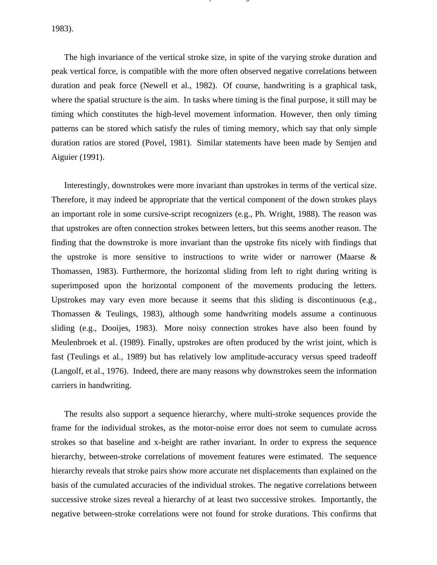1983).

 The high invariance of the vertical stroke size, in spite of the varying stroke duration and peak vertical force, is compatible with the more often observed negative correlations between duration and peak force (Newell et al., 1982). Of course, handwriting is a graphical task, where the spatial structure is the aim. In tasks where timing is the final purpose, it still may be timing which constitutes the high-level movement information. However, then only timing patterns can be stored which satisfy the rules of timing memory, which say that only simple duration ratios are stored (Povel, 1981). Similar statements have been made by Semjen and Aiguier (1991).

 Interestingly, downstrokes were more invariant than upstrokes in terms of the vertical size. Therefore, it may indeed be appropriate that the vertical component of the down strokes plays an important role in some cursive-script recognizers (e.g., Ph. Wright, 1988). The reason was that upstrokes are often connection strokes between letters, but this seems another reason. The finding that the downstroke is more invariant than the upstroke fits nicely with findings that the upstroke is more sensitive to instructions to write wider or narrower (Maarse & Thomassen, 1983). Furthermore, the horizontal sliding from left to right during writing is superimposed upon the horizontal component of the movements producing the letters. Upstrokes may vary even more because it seems that this sliding is discontinuous (e.g., Thomassen & Teulings, 1983), although some handwriting models assume a continuous sliding (e.g., Dooijes, 1983). More noisy connection strokes have also been found by Meulenbroek et al. (1989). Finally, upstrokes are often produced by the wrist joint, which is fast (Teulings et al., 1989) but has relatively low amplitude-accuracy versus speed tradeoff (Langolf, et al., 1976). Indeed, there are many reasons why downstrokes seem the information carriers in handwriting.

 The results also support a sequence hierarchy, where multi-stroke sequences provide the frame for the individual strokes, as the motor-noise error does not seem to cumulate across strokes so that baseline and x-height are rather invariant. In order to express the sequence hierarchy, between-stroke correlations of movement features were estimated. The sequence hierarchy reveals that stroke pairs show more accurate net displacements than explained on the basis of the cumulated accuracies of the individual strokes. The negative correlations between successive stroke sizes reveal a hierarchy of at least two successive strokes. Importantly, the negative between-stroke correlations were not found for stroke durations. This confirms that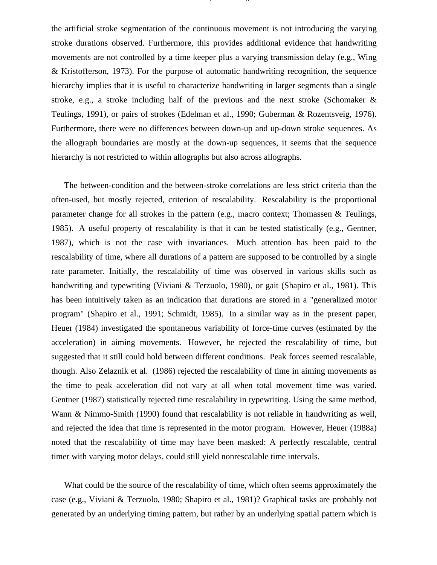the artificial stroke segmentation of the continuous movement is not introducing the varying stroke durations observed. Furthermore, this provides additional evidence that handwriting movements are not controlled by a time keeper plus a varying transmission delay (e.g., Wing & Kristofferson, 1973). For the purpose of automatic handwriting recognition, the sequence hierarchy implies that it is useful to characterize handwriting in larger segments than a single stroke, e.g., a stroke including half of the previous and the next stroke (Schomaker & Teulings, 1991), or pairs of strokes (Edelman et al., 1990; Guberman & Rozentsveig, 1976). Furthermore, there were no differences between down-up and up-down stroke sequences. As the allograph boundaries are mostly at the down-up sequences, it seems that the sequence hierarchy is not restricted to within allographs but also across allographs.

 The between-condition and the between-stroke correlations are less strict criteria than the often-used, but mostly rejected, criterion of rescalability. Rescalability is the proportional parameter change for all strokes in the pattern (e.g., macro context; Thomassen & Teulings, 1985). A useful property of rescalability is that it can be tested statistically (e.g., Gentner, 1987), which is not the case with invariances. Much attention has been paid to the rescalability of time, where all durations of a pattern are supposed to be controlled by a single rate parameter. Initially, the rescalability of time was observed in various skills such as handwriting and typewriting (Viviani & Terzuolo, 1980), or gait (Shapiro et al., 1981). This has been intuitively taken as an indication that durations are stored in a "generalized motor program" (Shapiro et al., 1991; Schmidt, 1985). In a similar way as in the present paper, Heuer (1984) investigated the spontaneous variability of force-time curves (estimated by the acceleration) in aiming movements. However, he rejected the rescalability of time, but suggested that it still could hold between different conditions. Peak forces seemed rescalable, though. Also Zelaznik et al. (1986) rejected the rescalability of time in aiming movements as the time to peak acceleration did not vary at all when total movement time was varied. Gentner (1987) statistically rejected time rescalability in typewriting. Using the same method, Wann & Nimmo-Smith (1990) found that rescalability is not reliable in handwriting as well, and rejected the idea that time is represented in the motor program. However, Heuer (1988a) noted that the rescalability of time may have been masked: A perfectly rescalable, central timer with varying motor delays, could still yield nonrescalable time intervals.

 What could be the source of the rescalability of time, which often seems approximately the case (e.g., Viviani & Terzuolo, 1980; Shapiro et al., 1981)? Graphical tasks are probably not generated by an underlying timing pattern, but rather by an underlying spatial pattern which is